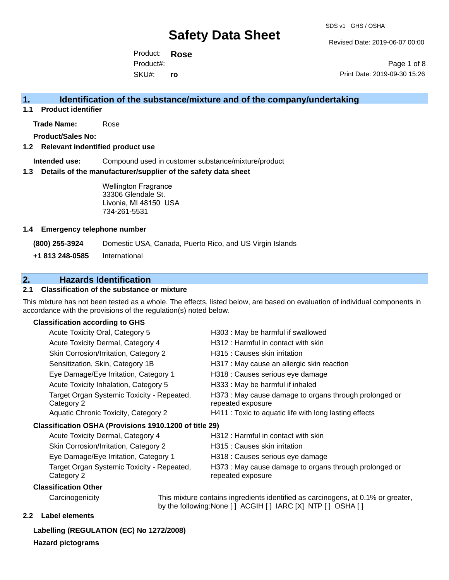Revised Date: 2019-06-07 00:00

Product: **Rose**  SKU#: Product#: **ro**

Page 1 of 8 Print Date: 2019-09-30 15:26

### **1. Identification of the substance/mixture and of the company/undertaking**

**1.1 Product identifier**

**Trade Name:** Rose

**Product/Sales No:**

### **1.2 Relevant indentified product use**

**Intended use:** Compound used in customer substance/mixture/product

### **1.3 Details of the manufacturer/supplier of the safety data sheet**

Wellington Fragrance 33306 Glendale St. Livonia, MI 48150 USA 734-261-5531

### **1.4 Emergency telephone number**

**(800) 255-3924** Domestic USA, Canada, Puerto Rico, and US Virgin Islands

**+1 813 248-0585** International

### **2. Hazards Identification**

### **2.1 Classification of the substance or mixture**

This mixture has not been tested as a whole. The effects, listed below, are based on evaluation of individual components in accordance with the provisions of the regulation(s) noted below.

### **Classification according to GHS**

| Acute Toxicity Oral, Category 5                          | H303 : May be harmful if swallowed                                          |
|----------------------------------------------------------|-----------------------------------------------------------------------------|
| Acute Toxicity Dermal, Category 4                        | H312 : Harmful in contact with skin                                         |
| Skin Corrosion/Irritation, Category 2                    | H315 : Causes skin irritation                                               |
| Sensitization, Skin, Category 1B                         | H317 : May cause an allergic skin reaction                                  |
| Eye Damage/Eye Irritation, Category 1                    | H318 : Causes serious eye damage                                            |
| Acute Toxicity Inhalation, Category 5                    | H333: May be harmful if inhaled                                             |
| Target Organ Systemic Toxicity - Repeated,<br>Category 2 | H373 : May cause damage to organs through prolonged or<br>repeated exposure |
| Aquatic Chronic Toxicity, Category 2                     | H411 : Toxic to aquatic life with long lasting effects                      |
| Classification OSHA (Provisions 1910.1200 of title 29)   |                                                                             |
| Acute Toxicity Dermal, Category 4                        | H312 : Harmful in contact with skin                                         |
| Skin Corrosion/Irritation, Category 2                    | H315 : Causes skin irritation                                               |
| Eye Damage/Eye Irritation, Category 1                    | H318 : Causes serious eye damage                                            |
| Target Organ Systemic Toxicity - Repeated,<br>Category 2 | H373 : May cause damage to organs through prolonged or<br>repeated exposure |
| Classification Other                                     |                                                                             |

Carcinogenicity This mixture contains ingredients identified as carcinogens, at 0.1% or greater, by the following:None [ ] ACGIH [ ] IARC [X] NTP [ ] OSHA [ ]

### **2.2 Label elements**

**Labelling (REGULATION (EC) No 1272/2008)**

**Hazard pictograms**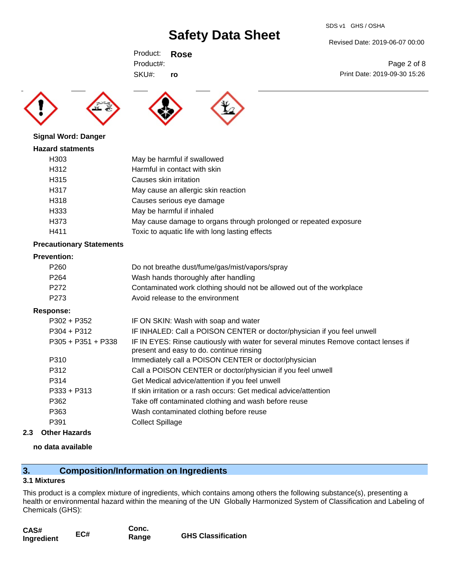#### SDS v1 GHS / OSHA

# **Safety Data Sheet**

Revised Date: 2019-06-07 00:00

Print Date: 2019-09-30 15:26

Page 2 of 8

Product: **Rose**  SKU#: Product#: **ro**





### **Signal Word: Danger**

| May cause damage to organs through prolonged or repeated exposure |
|-------------------------------------------------------------------|
|                                                                   |
|                                                                   |

### **Precautionary Statements**

### **Prevention:**

| P <sub>260</sub> | Do not breathe dust/fume/gas/mist/vapors/spray                        |
|------------------|-----------------------------------------------------------------------|
| P <sub>264</sub> | Wash hands thoroughly after handling                                  |
| P272             | Contaminated work clothing should not be allowed out of the workplace |
| P273             | Avoid release to the environment                                      |

### **Response:**

| P302 + P352          | IF ON SKIN: Wash with soap and water                                                                                             |
|----------------------|----------------------------------------------------------------------------------------------------------------------------------|
| $P304 + P312$        | IF INHALED: Call a POISON CENTER or doctor/physician if you feel unwell                                                          |
| $P305 + P351 + P338$ | IF IN EYES: Rinse cautiously with water for several minutes Remove contact lenses if<br>present and easy to do. continue rinsing |
| P310                 | Immediately call a POISON CENTER or doctor/physician                                                                             |
| P312                 | Call a POISON CENTER or doctor/physician if you feel unwell                                                                      |
| P314                 | Get Medical advice/attention if you feel unwell                                                                                  |
| $P333 + P313$        | If skin irritation or a rash occurs: Get medical advice/attention                                                                |
| P362                 | Take off contaminated clothing and wash before reuse                                                                             |
| P363                 | Wash contaminated clothing before reuse                                                                                          |
| P391                 | <b>Collect Spillage</b>                                                                                                          |
|                      |                                                                                                                                  |

### **2.3 Other Hazards**

### **no data available**

### **3. Composition/Information on Ingredients**

### **3.1 Mixtures**

This product is a complex mixture of ingredients, which contains among others the following substance(s), presenting a health or environmental hazard within the meaning of the UN Globally Harmonized System of Classification and Labeling of Chemicals (GHS):

| CAS#       |     | Conc. |                           |
|------------|-----|-------|---------------------------|
| Ingredient | EC# | Range | <b>GHS Classification</b> |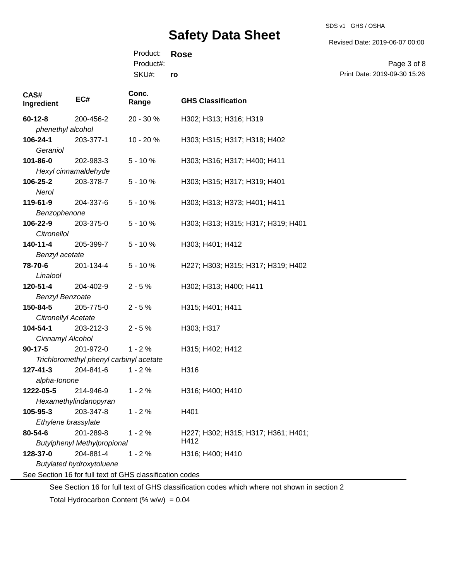Revised Date: 2019-06-07 00:00

Product: **Rose**  SKU#: Product#: **ro**

Page 3 of 8 Print Date: 2019-09-30 15:26

| CAS#<br>Ingredient     | EC#                                     | Conc.<br>Range                                           | <b>GHS Classification</b>                   |
|------------------------|-----------------------------------------|----------------------------------------------------------|---------------------------------------------|
| $60 - 12 - 8$          | 200-456-2                               | 20 - 30 %                                                | H302; H313; H316; H319                      |
| phenethyl alcohol      |                                         |                                                          |                                             |
| 106-24-1               | 203-377-1                               | 10 - 20 %                                                | H303; H315; H317; H318; H402                |
| Geraniol               |                                         |                                                          |                                             |
| 101-86-0               | 202-983-3                               | $5 - 10%$                                                | H303; H316; H317; H400; H411                |
|                        | Hexyl cinnamaldehyde                    |                                                          |                                             |
| 106-25-2               | 203-378-7                               | $5 - 10%$                                                | H303; H315; H317; H319; H401                |
| Nerol                  |                                         |                                                          |                                             |
| 119-61-9               | 204-337-6                               | $5 - 10%$                                                | H303; H313; H373; H401; H411                |
| Benzophenone           |                                         |                                                          |                                             |
| 106-22-9               | 203-375-0                               | $5 - 10%$                                                | H303; H313; H315; H317; H319; H401          |
| Citronellol            |                                         |                                                          |                                             |
| $140 - 11 - 4$         | 205-399-7                               | $5 - 10%$                                                | H303; H401; H412                            |
| Benzyl acetate         |                                         |                                                          |                                             |
| 78-70-6                | 201-134-4                               | $5 - 10%$                                                | H227; H303; H315; H317; H319; H402          |
| Linalool               |                                         |                                                          |                                             |
| 120-51-4               | 204-402-9                               | $2 - 5%$                                                 | H302; H313; H400; H411                      |
| <b>Benzyl Benzoate</b> |                                         |                                                          |                                             |
| 150-84-5               | 205-775-0                               | $2 - 5%$                                                 | H315; H401; H411                            |
| Citronellyl Acetate    |                                         |                                                          |                                             |
| 104-54-1               | 203-212-3                               | $2 - 5%$                                                 | H303; H317                                  |
| Cinnamyl Alcohol       |                                         |                                                          |                                             |
| $90-17-5$              | 201-972-0                               | $1 - 2%$                                                 | H315; H402; H412                            |
|                        | Trichloromethyl phenyl carbinyl acetate |                                                          |                                             |
| $127 - 41 - 3$         | 204-841-6                               | $1 - 2%$                                                 | H316                                        |
| alpha-lonone           |                                         |                                                          |                                             |
| 1222-05-5              | 214-946-9                               | $1 - 2%$                                                 | H316; H400; H410                            |
|                        | Hexamethylindanopyran                   |                                                          |                                             |
| 105-95-3               | 203-347-8                               | $1 - 2%$                                                 | H401                                        |
| Ethylene brassylate    |                                         |                                                          |                                             |
| 80-54-6                | 201-289-8                               | $1 - 2%$                                                 | H227; H302; H315; H317; H361; H401;<br>H412 |
|                        | <b>Butylphenyl Methylpropional</b>      |                                                          |                                             |
| 128-37-0               | 204-881-4                               | $1 - 2%$                                                 | H316; H400; H410                            |
|                        | <b>Butylated hydroxytoluene</b>         |                                                          |                                             |
|                        |                                         | See Section 16 for full text of GHS classification codes |                                             |

See Section 16 for full text of GHS classification codes which where not shown in section 2

Total Hydrocarbon Content (%  $w/w$ ) = 0.04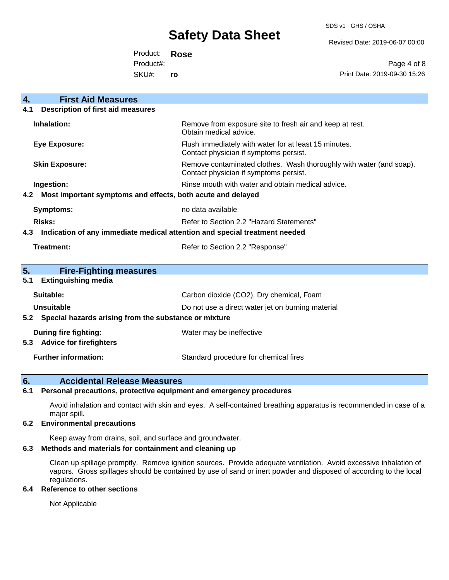SDS v1 GHS / OSHA

Revised Date: 2019-06-07 00:00

Product: **Rose**  SKU#: Product#: **ro**

Page 4 of 8 Print Date: 2019-09-30 15:26

| <b>First Aid Measures</b><br>4.                                    |                                                                                                               |  |  |
|--------------------------------------------------------------------|---------------------------------------------------------------------------------------------------------------|--|--|
| <b>Description of first aid measures</b><br>4.1                    |                                                                                                               |  |  |
| Inhalation:                                                        | Remove from exposure site to fresh air and keep at rest.<br>Obtain medical advice.                            |  |  |
| <b>Eye Exposure:</b>                                               | Flush immediately with water for at least 15 minutes.<br>Contact physician if symptoms persist.               |  |  |
| <b>Skin Exposure:</b>                                              | Remove contaminated clothes. Wash thoroughly with water (and soap).<br>Contact physician if symptoms persist. |  |  |
| Ingestion:                                                         | Rinse mouth with water and obtain medical advice.                                                             |  |  |
| Most important symptoms and effects, both acute and delayed<br>4.2 |                                                                                                               |  |  |
| <b>Symptoms:</b>                                                   | no data available                                                                                             |  |  |
| Risks:                                                             | Refer to Section 2.2 "Hazard Statements"                                                                      |  |  |
| 4.3                                                                | Indication of any immediate medical attention and special treatment needed                                    |  |  |
| <b>Treatment:</b>                                                  | Refer to Section 2.2 "Response"                                                                               |  |  |
|                                                                    |                                                                                                               |  |  |
| 5.<br><b>Fire-Fighting measures</b>                                |                                                                                                               |  |  |
| <b>Extinguishing media</b><br>5.1                                  |                                                                                                               |  |  |
| Suitable:                                                          | Carbon dioxide (CO2), Dry chemical, Foam                                                                      |  |  |
| <b>Unsuitable</b>                                                  | Do not use a direct water jet on burning material                                                             |  |  |
| 5.2 Special hazards arising from the substance or mixture          |                                                                                                               |  |  |
| During fire fighting:                                              | Water may be ineffective                                                                                      |  |  |
| <b>Advice for firefighters</b><br>5.3                              |                                                                                                               |  |  |
| <b>Further information:</b>                                        | Standard procedure for chemical fires                                                                         |  |  |

### **6. Accidental Release Measures**

### **6.1 Personal precautions, protective equipment and emergency procedures**

Avoid inhalation and contact with skin and eyes. A self-contained breathing apparatus is recommended in case of a major spill.

### **6.2 Environmental precautions**

Keep away from drains, soil, and surface and groundwater.

### **6.3 Methods and materials for containment and cleaning up**

Clean up spillage promptly. Remove ignition sources. Provide adequate ventilation. Avoid excessive inhalation of vapors. Gross spillages should be contained by use of sand or inert powder and disposed of according to the local regulations.

### **6.4 Reference to other sections**

Not Applicable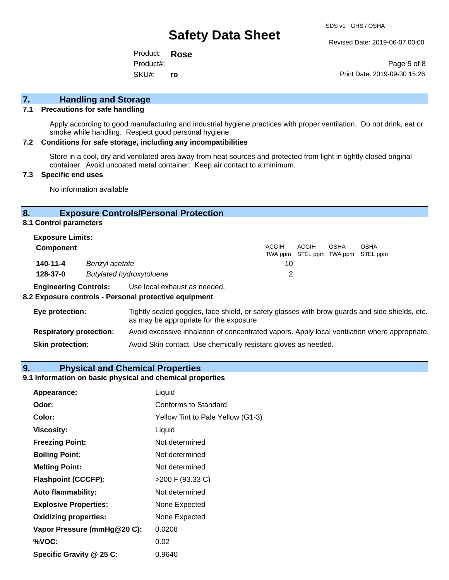Revised Date: 2019-06-07 00:00

Product: **Rose**  SKU#: Product#: **ro**

Page 5 of 8 Print Date: 2019-09-30 15:26

### **7. Handling and Storage**

### **7.1 Precautions for safe handling**

Apply according to good manufacturing and industrial hygiene practices with proper ventilation. Do not drink, eat or smoke while handling. Respect good personal hygiene.

### **7.2 Conditions for safe storage, including any incompatibilities**

Store in a cool, dry and ventilated area away from heat sources and protected from light in tightly closed original container. Avoid uncoated metal container. Keep air contact to a minimum.

### **7.3 Specific end uses**

No information available

### **8. Exposure Controls/Personal Protection**

**8.1 Control parameters**

| <b>Exposure Limits:</b> |                                 |              |       |             |                                                  |
|-------------------------|---------------------------------|--------------|-------|-------------|--------------------------------------------------|
| <b>Component</b>        |                                 | <b>ACGIH</b> | ACGIH | <b>OSHA</b> | <b>OSHA</b><br>TWA ppm STEL ppm TWA ppm STEL ppm |
| 140-11-4                | Benzyl acetate                  | 10           |       |             |                                                  |
| 128-37-0                | <b>Butylated hydroxytoluene</b> |              |       |             |                                                  |

**Engineering Controls:** Use local exhaust as needed.

### **8.2 Exposure controls - Personal protective equipment**

| Eye protection:                | Tightly sealed goggles, face shield, or safety glasses with brow guards and side shields, etc.<br>as may be appropriate for the exposure |
|--------------------------------|------------------------------------------------------------------------------------------------------------------------------------------|
| <b>Respiratory protection:</b> | Avoid excessive inhalation of concentrated vapors. Apply local ventilation where appropriate.                                            |
| <b>Skin protection:</b>        | Avoid Skin contact. Use chemically resistant gloves as needed.                                                                           |

### **9. Physical and Chemical Properties**

### **9.1 Information on basic physical and chemical properties**

| Appearance:                  | Liquid                            |
|------------------------------|-----------------------------------|
| Odor:                        | Conforms to Standard              |
| Color:                       | Yellow Tint to Pale Yellow (G1-3) |
| <b>Viscosity:</b>            | Liquid                            |
| <b>Freezing Point:</b>       | Not determined                    |
| <b>Boiling Point:</b>        | Not determined                    |
| <b>Melting Point:</b>        | Not determined                    |
| <b>Flashpoint (CCCFP):</b>   | >200 F (93.33 C)                  |
| <b>Auto flammability:</b>    | Not determined                    |
| <b>Explosive Properties:</b> | None Expected                     |
| <b>Oxidizing properties:</b> | None Expected                     |
| Vapor Pressure (mmHg@20 C):  | 0.0208                            |
| %VOC:                        | 0.02                              |
| Specific Gravity @ 25 C:     | 0.9640                            |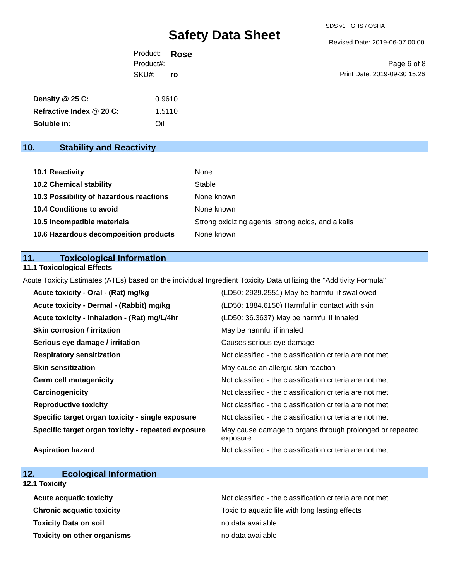Revised Date: 2019-06-07 00:00

| Product: <b>Rose</b> |     |                              |
|----------------------|-----|------------------------------|
| Product#:            |     | Page 6 of 8                  |
| SKU#:                | ro. | Print Date: 2019-09-30 15:26 |

| Density @ 25 C:          | 0.9610 |
|--------------------------|--------|
| Refractive Index @ 20 C: | 1.5110 |
| Soluble in:              | Oil    |

### **10. Stability and Reactivity**

| <b>10.1 Reactivity</b>                  | None                                               |
|-----------------------------------------|----------------------------------------------------|
| <b>10.2 Chemical stability</b>          | Stable                                             |
| 10.3 Possibility of hazardous reactions | None known                                         |
| <b>10.4 Conditions to avoid</b>         | None known                                         |
| 10.5 Incompatible materials             | Strong oxidizing agents, strong acids, and alkalis |
| 10.6 Hazardous decomposition products   | None known                                         |

### **11. Toxicological Information**

### **11.1 Toxicological Effects**

Acute Toxicity Estimates (ATEs) based on the individual Ingredient Toxicity Data utilizing the "Additivity Formula"

| Acute toxicity - Oral - (Rat) mg/kg                | (LD50: 2929.2551) May be harmful if swallowed                        |
|----------------------------------------------------|----------------------------------------------------------------------|
| Acute toxicity - Dermal - (Rabbit) mg/kg           | (LD50: 1884.6150) Harmful in contact with skin                       |
| Acute toxicity - Inhalation - (Rat) mg/L/4hr       | (LD50: 36.3637) May be harmful if inhaled                            |
| <b>Skin corrosion / irritation</b>                 | May be harmful if inhaled                                            |
| Serious eye damage / irritation                    | Causes serious eye damage                                            |
| <b>Respiratory sensitization</b>                   | Not classified - the classification criteria are not met             |
| <b>Skin sensitization</b>                          | May cause an allergic skin reaction                                  |
| <b>Germ cell mutagenicity</b>                      | Not classified - the classification criteria are not met             |
| Carcinogenicity                                    | Not classified - the classification criteria are not met             |
| <b>Reproductive toxicity</b>                       | Not classified - the classification criteria are not met             |
| Specific target organ toxicity - single exposure   | Not classified - the classification criteria are not met             |
| Specific target organ toxicity - repeated exposure | May cause damage to organs through prolonged or repeated<br>exposure |
| <b>Aspiration hazard</b>                           | Not classified - the classification criteria are not met             |

### **12. Ecological Information**

**12.1 Toxicity**

| <b>Acute acquatic toxicity</b>     | Not classified - the classification criteria are not met |
|------------------------------------|----------------------------------------------------------|
| <b>Chronic acquatic toxicity</b>   | Toxic to aquatic life with long lasting effects          |
| <b>Toxicity Data on soil</b>       | no data available                                        |
| <b>Toxicity on other organisms</b> | no data available                                        |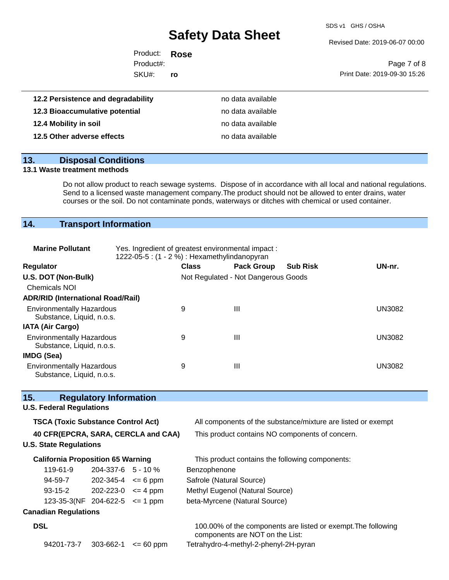SDS v1 GHS / OSHA

Revised Date: 2019-06-07 00:00

| Product: <b>Rose</b> |           |                              |
|----------------------|-----------|------------------------------|
| Product#:            |           | Page 7 of 8                  |
| SKU#:                | <b>ro</b> | Print Date: 2019-09-30 15:26 |

| 12.2 Persistence and degradability | no data available |  |
|------------------------------------|-------------------|--|
| 12.3 Bioaccumulative potential     | no data available |  |
| 12.4 Mobility in soil              | no data available |  |
| 12.5 Other adverse effects         | no data available |  |

### **13. Disposal Conditions**

### **13.1 Waste treatment methods**

Do not allow product to reach sewage systems. Dispose of in accordance with all local and national regulations. Send to a licensed waste management company.The product should not be allowed to enter drains, water courses or the soil. Do not contaminate ponds, waterways or ditches with chemical or used container.

### **14. Transport Information**

| <b>Marine Pollutant</b>                                                                                   |                    | Yes. Ingredient of greatest environmental impact:<br>1222-05-5 : (1 - 2 %) : Hexamethylindanopyran |                            |                                 |                                       |                                                               |               |
|-----------------------------------------------------------------------------------------------------------|--------------------|----------------------------------------------------------------------------------------------------|----------------------------|---------------------------------|---------------------------------------|---------------------------------------------------------------|---------------|
| Regulator                                                                                                 |                    |                                                                                                    |                            | <b>Class</b>                    | <b>Pack Group</b>                     | <b>Sub Risk</b>                                               | UN-nr.        |
| U.S. DOT (Non-Bulk)                                                                                       |                    |                                                                                                    |                            |                                 | Not Regulated - Not Dangerous Goods   |                                                               |               |
| <b>Chemicals NOI</b>                                                                                      |                    |                                                                                                    |                            |                                 |                                       |                                                               |               |
| <b>ADR/RID (International Road/Rail)</b>                                                                  |                    |                                                                                                    |                            |                                 |                                       |                                                               |               |
| <b>Environmentally Hazardous</b><br>Substance, Liquid, n.o.s.                                             |                    |                                                                                                    |                            | 9                               | $\mathbf{III}$                        |                                                               | <b>UN3082</b> |
| <b>IATA (Air Cargo)</b>                                                                                   |                    |                                                                                                    |                            |                                 |                                       |                                                               |               |
| <b>Environmentally Hazardous</b><br>Substance, Liquid, n.o.s.                                             |                    |                                                                                                    |                            | 9                               | III                                   |                                                               | <b>UN3082</b> |
| <b>IMDG (Sea)</b>                                                                                         |                    |                                                                                                    |                            |                                 |                                       |                                                               |               |
| <b>Environmentally Hazardous</b><br>Substance, Liquid, n.o.s.                                             |                    | 9                                                                                                  | $\mathbf{III}$             |                                 | <b>UN3082</b>                         |                                                               |               |
| 15.<br><b>Regulatory Information</b>                                                                      |                    |                                                                                                    |                            |                                 |                                       |                                                               |               |
| <b>U.S. Federal Regulations</b>                                                                           |                    |                                                                                                    |                            |                                 |                                       |                                                               |               |
| <b>TSCA (Toxic Substance Control Act)</b><br>All components of the substance/mixture are listed or exempt |                    |                                                                                                    |                            |                                 |                                       |                                                               |               |
| 40 CFR(EPCRA, SARA, CERCLA and CAA)<br>This product contains NO components of concern.                    |                    |                                                                                                    |                            |                                 |                                       |                                                               |               |
| <b>U.S. State Regulations</b>                                                                             |                    |                                                                                                    |                            |                                 |                                       |                                                               |               |
| <b>California Proposition 65 Warning</b>                                                                  |                    |                                                                                                    |                            |                                 |                                       | This product contains the following components:               |               |
| 119-61-9                                                                                                  | 204-337-6 5 - 10 % |                                                                                                    | Benzophenone               |                                 |                                       |                                                               |               |
| 94-59-7                                                                                                   |                    |                                                                                                    | $202 - 345 - 4 \le 6$ ppm  | Safrole (Natural Source)        |                                       |                                                               |               |
| $93-15-2$                                                                                                 |                    |                                                                                                    | $202 - 223 - 0 \leq 4$ ppm | Methyl Eugenol (Natural Source) |                                       |                                                               |               |
| 123-35-3(NF 204-622-5 $\leq$ 1 ppm                                                                        |                    |                                                                                                    |                            | beta-Myrcene (Natural Source)   |                                       |                                                               |               |
| <b>Canadian Regulations</b>                                                                               |                    |                                                                                                    |                            |                                 |                                       |                                                               |               |
| <b>DSL</b>                                                                                                |                    |                                                                                                    |                            |                                 | components are NOT on the List:       | 100.00% of the components are listed or exempt. The following |               |
| 94201-73-7                                                                                                | 303-662-1          |                                                                                                    | $\leq$ 60 ppm              |                                 | Tetrahydro-4-methyl-2-phenyl-2H-pyran |                                                               |               |